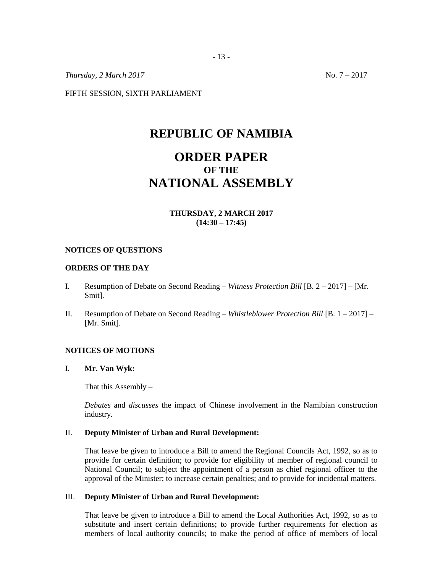*Thursday, 2 March 2017* No. 7 – 2017

FIFTH SESSION, SIXTH PARLIAMENT

# **REPUBLIC OF NAMIBIA**

# **ORDER PAPER OF THE NATIONAL ASSEMBLY**

# **THURSDAY, 2 MARCH 2017 (14:30 – 17:45)**

### **NOTICES OF QUESTIONS**

## **ORDERS OF THE DAY**

- I. Resumption of Debate on Second Reading *Witness Protection Bill* [B. 2 2017] [Mr. Smit].
- II. Resumption of Debate on Second Reading *Whistleblower Protection Bill* [B. 1 2017] [Mr. Smit].

## **NOTICES OF MOTIONS**

I. **Mr. Van Wyk:**

That this Assembly  $-$ 

*Debates* and *discusses* the impact of Chinese involvement in the Namibian construction industry.

### II. **Deputy Minister of Urban and Rural Development:**

That leave be given to introduce a Bill to amend the Regional Councils Act, 1992, so as to provide for certain definition; to provide for eligibility of member of regional council to National Council; to subject the appointment of a person as chief regional officer to the approval of the Minister; to increase certain penalties; and to provide for incidental matters.

### III. **Deputy Minister of Urban and Rural Development:**

That leave be given to introduce a Bill to amend the Local Authorities Act, 1992, so as to substitute and insert certain definitions; to provide further requirements for election as members of local authority councils; to make the period of office of members of local